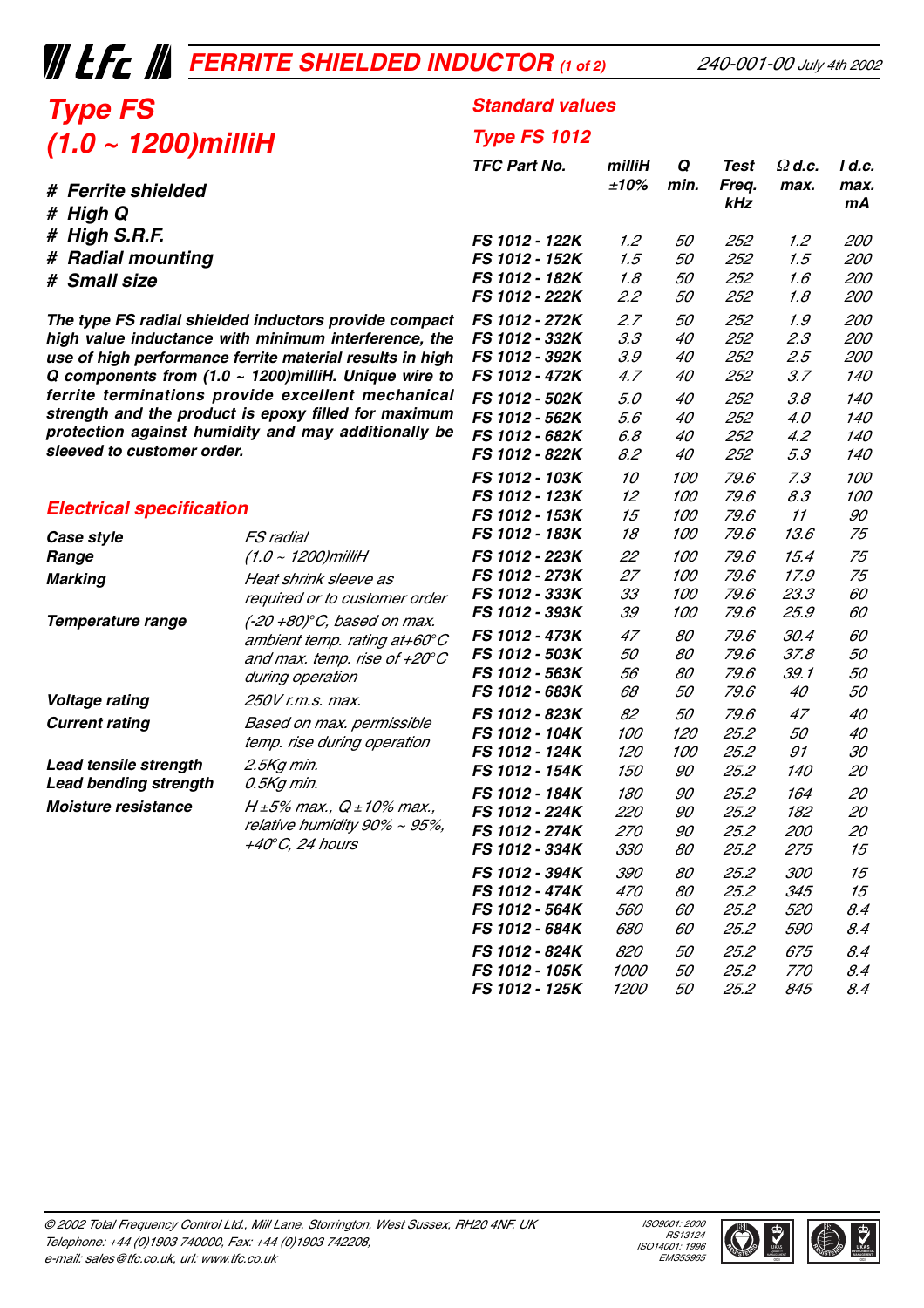## **THE EXAMPLE SHIELDED INDUCTOR** (1 of 2)

**Standard values**

**Type FS 1012**

**kHz mA**

**TFC Part No. milliH Q Test** Ω **d.c. I d.c.**

**FS 1012 - 122K** 1.2 50 252 1.2 200 **FS 1012 - 152K** 1.5 50 252 1.5 200 **FS 1012 - 182K** 1.8 50 252 1.6 200 **FS 1012 - 222K** 2.2 50 252 1.8 200 **FS 1012 - 272K** 2.7 50 252 1.9 200 **FS 1012 - 332K** 3.3 40 252 2.3 200 **FS 1012 - 392K** 3.9 40 252 2.5 200 **FS 1012 - 472K** 4.7 40 252 3.7 140 **FS 1012 - 502K** 5.0 40 252 3.8 140 **FS 1012 - 562K** 5.6 40 252 4.0 140 **FS 1012 - 682K** 6.8 40 252 4.2 140 **FS 1012 - 822K** 8.2 40 252 5.3 140 **FS 1012 - 103K** 10 100 79.6 7.3 100 **FS 1012 - 123K** 12 100 79.6 8.3 100

<sup>±</sup>**10% min. Freq. max. max.**

## **Type FS (1.0 ~ 1200)milliH**

- **# High Q**
- **# High S.R.F.**
- **# Radial mounting**
- **# Small size**

**The type FS radial shielded inductors provide compact high value inductance with minimum interference, the use of high performance ferrite material results in high Q components from (1.0 ~ 1200)milliH. Unique wire to ferrite terminations provide excellent mechanical strength and the product is epoxy filled for maximum protection against humidity and may additionally be sleeved to customer order.**

#### **Electrical specification**

| Electrical specification     |                                                                                                                                         | <b>FS 1012 - 153K</b> | 15         | <i>100</i> | 79.6 | 11         | 90  |
|------------------------------|-----------------------------------------------------------------------------------------------------------------------------------------|-----------------------|------------|------------|------|------------|-----|
| Case style                   | <i>FS radial</i>                                                                                                                        | FS 1012 - 183K        | 18         | <i>100</i> | 79.6 | 13.6       | 75  |
| Range                        | $(1.0 - 1200)$ milliH                                                                                                                   | <b>FS 1012 - 223K</b> | 22         | <i>100</i> | 79.6 | 15.4       | 75  |
| Marking                      | Heat shrink sleeve as<br>required or to customer order                                                                                  | <b>FS 1012 - 273K</b> | 27         | <i>100</i> | 79.6 | 17.9       | 75  |
|                              |                                                                                                                                         | FS 1012 - 333K        | 33         | <i>100</i> | 79.6 | 23.3       | 60  |
| Temperature range            | $(-20 + 80)$ °C, based on max.<br>ambient temp. rating at+60 $^{\circ}$ C<br>and max. temp. rise of $+20^{\circ}$ C<br>during operation | FS 1012 - 393K        | 39         | <i>100</i> | 79.6 | 25.9       | 60  |
|                              |                                                                                                                                         | <b>FS 1012 - 473K</b> | 47         | 80         | 79.6 | 30.4       | 60  |
|                              |                                                                                                                                         | <b>FS 1012 - 503K</b> | 50         | 80         | 79.6 | 37.8       | 50  |
|                              |                                                                                                                                         | FS 1012 - 563K        | 56         | 80         | 79.6 | 39. 1      | 50  |
| Voltage rating               | 250V r.m.s. max.                                                                                                                        | FS 1012 - 683K        | 68         | 50         | 79.6 | 40         | 50  |
| <b>Current rating</b>        | Based on max. permissible<br>temp. rise during operation                                                                                | FS 1012 - 823K        | 82         | 50         | 79.6 | 47         | 40  |
|                              |                                                                                                                                         | <b>FS 1012 - 104K</b> | <i>100</i> | 120        | 25.2 | 50         | 40  |
|                              |                                                                                                                                         | <b>FS 1012 - 124K</b> | <i>120</i> | <i>100</i> | 25.2 | 91         | 30  |
| Lead tensile strength        | 2.5Kg min.                                                                                                                              | FS 1012 - 154K        | <i>150</i> | 90         | 25.2 | <i>140</i> | 20  |
| <b>Lead bending strength</b> | 0.5Kg min.                                                                                                                              | FS 1012 - 184K        | 180        | 90         | 25.2 | 164        | 20  |
| Moisture resistance          | $H \pm 5\%$ max., $Q \pm 10\%$ max.,<br>relative humidity 90% ~ 95%,<br>+40°C, 24 hours                                                 | FS 1012 - 224K        | <i>220</i> | 90         | 25.2 | 182        | 20  |
|                              |                                                                                                                                         | FS 1012 - 274K        | <i>270</i> | 90         | 25.2 | <i>200</i> | 20  |
|                              |                                                                                                                                         | FS 1012 - 334K        | <i>330</i> | 80         | 25.2 | 275        | 15  |
|                              |                                                                                                                                         | FS 1012 - 394K        | <i>390</i> | 80         | 25.2 | <i>300</i> | 15  |
|                              |                                                                                                                                         | <b>FS 1012 - 474K</b> | <i>470</i> | 80         | 25.2 | 345        | 15  |
|                              |                                                                                                                                         | <b>FS 1012 - 564K</b> | <i>560</i> | 60         | 25.2 | <i>520</i> | 8.4 |
|                              |                                                                                                                                         | FS 1012 - 684K        | 680        | 60         | 25.2 | 590        | 8.4 |

**FS 1012 - 824K** 820 50 25.2 675 8.4 **FS 1012 - 105K** 1000 50 25.2 770 8.4 **FS 1012 - 125K** 1200 50 25.2 845 8.4